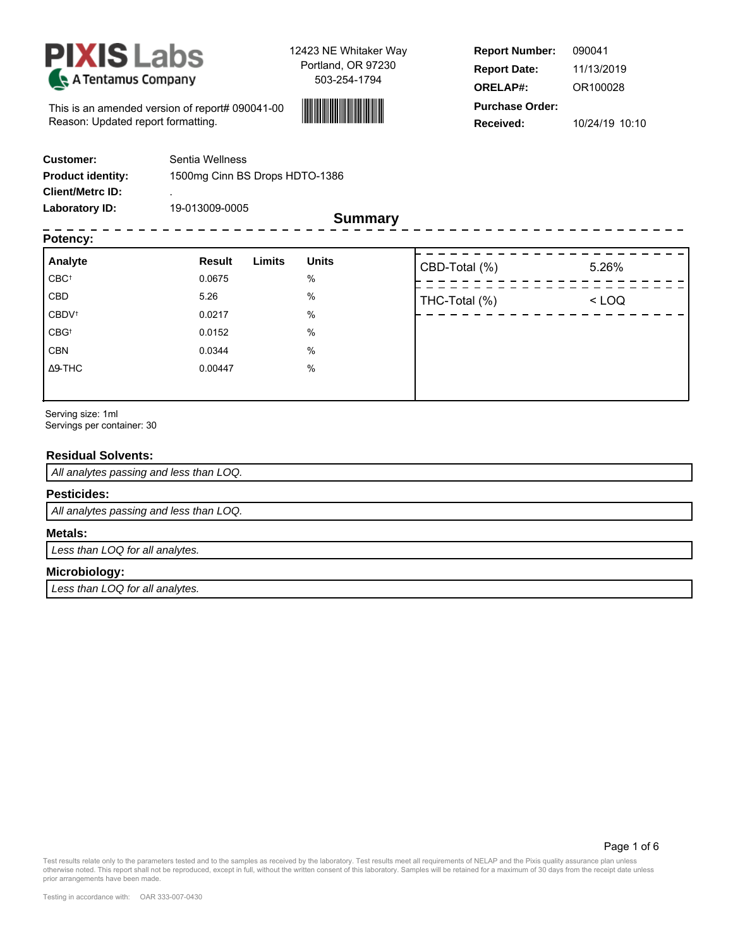



**Report Number: Report Date: ORELAP#: Received: Purchase Order:** 090041 11/13/2019 OR100028 10/24/19 10:10

This is an amended version of report# 090041-00 Reason: Updated report formatting.

| <b>Customer:</b>         | Sentia Wellness                |
|--------------------------|--------------------------------|
| <b>Product identity:</b> | 1500mg Cinn BS Drops HDTO-1386 |
| <b>Client/Metrc ID:</b>  |                                |
| Laboratory ID:           | 19-013009-0005                 |

**Summary**

# **Potency:**

| <b>FULGIIUY.</b>         |                         |              |               |         |
|--------------------------|-------------------------|--------------|---------------|---------|
| Analyte                  | Limits<br><b>Result</b> | <b>Units</b> | CBD-Total (%) | 5.26%   |
| $CBC^{\dagger}$          | 0.0675                  | %            |               |         |
| CBD                      | 5.26                    | %            | THC-Total (%) | $<$ LOQ |
| <b>CBDV</b> <sup>t</sup> | 0.0217                  | %            |               |         |
| CBG <sup>+</sup>         | 0.0152                  | %            |               |         |
| <b>CBN</b>               | 0.0344                  | %            |               |         |
| $\Delta$ 9-THC           | 0.00447                 | $\%$         |               |         |
|                          |                         |              |               |         |

Serving size: 1ml Servings per container: 30

## **Residual Solvents:**

All analytes passing and less than LOQ.

### **Pesticides:**

All analytes passing and less than LOQ.

#### **Metals:**

Less than LOQ for all analytes.

# **Microbiology:**

Less than LOQ for all analytes.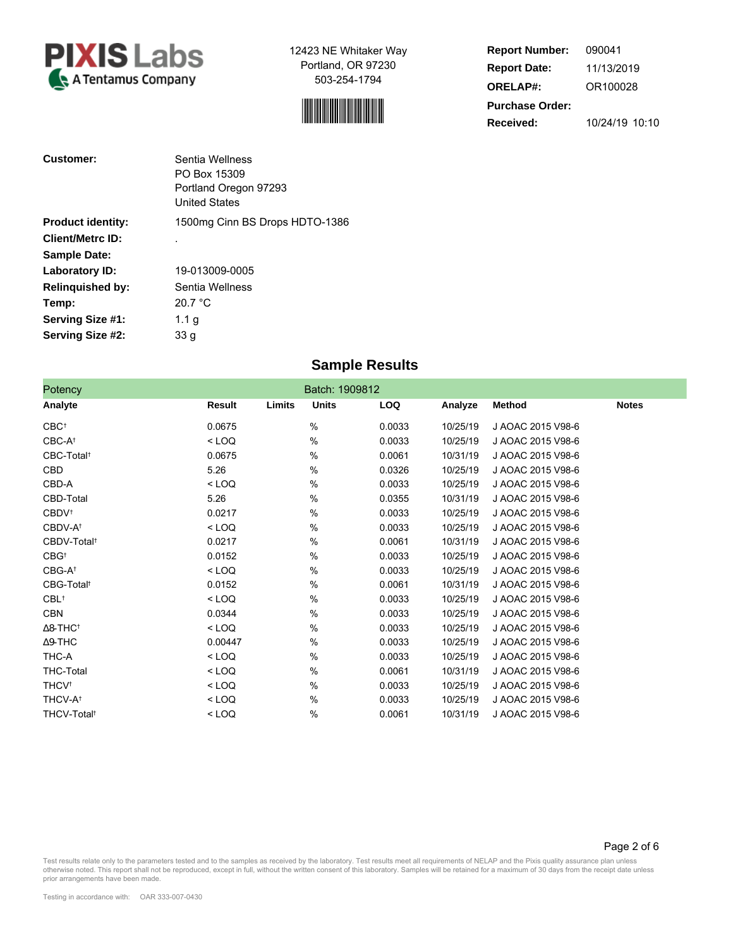



**Report Number: Report Date: ORELAP#: Purchase Order: Received:** 090041 11/13/2019 OR100028 10/24/19 10:10

Page 2 of 6

| <b>Customer:</b>         | Sentia Wellness<br>PO Box 15309<br>Portland Oregon 97293<br><b>United States</b> |
|--------------------------|----------------------------------------------------------------------------------|
| <b>Product identity:</b> | 1500mg Cinn BS Drops HDTO-1386                                                   |
| <b>Client/Metrc ID:</b>  |                                                                                  |
| <b>Sample Date:</b>      |                                                                                  |
| Laboratory ID:           | 19-013009-0005                                                                   |
| <b>Relinquished by:</b>  | Sentia Wellness                                                                  |
| Temp:                    | 20.7 °C                                                                          |
| Serving Size #1:         | 1.1 <sub>q</sub>                                                                 |
| Serving Size #2:         | 33 g                                                                             |

# **Sample Results**

| Potency                     |         | Batch: 1909812 |              |  |            |  |          |                   |              |
|-----------------------------|---------|----------------|--------------|--|------------|--|----------|-------------------|--------------|
| Analyte                     | Result  | Limits         | <b>Units</b> |  | <b>LOQ</b> |  | Analyze  | <b>Method</b>     | <b>Notes</b> |
| $CBC^{\dagger}$             | 0.0675  |                | $\%$         |  | 0.0033     |  | 10/25/19 | J AOAC 2015 V98-6 |              |
| CBC-At                      | $<$ LOQ |                | %            |  | 0.0033     |  | 10/25/19 | J AOAC 2015 V98-6 |              |
| CBC-Total <sup>t</sup>      | 0.0675  |                | %            |  | 0.0061     |  | 10/31/19 | J AOAC 2015 V98-6 |              |
| CBD                         | 5.26    |                | %            |  | 0.0326     |  | 10/25/19 | J AOAC 2015 V98-6 |              |
| CBD-A                       | $<$ LOQ |                | %            |  | 0.0033     |  | 10/25/19 | J AOAC 2015 V98-6 |              |
| CBD-Total                   | 5.26    |                | %            |  | 0.0355     |  | 10/31/19 | J AOAC 2015 V98-6 |              |
| <b>CBDV</b> <sup>t</sup>    | 0.0217  |                | $\%$         |  | 0.0033     |  | 10/25/19 | J AOAC 2015 V98-6 |              |
| CBDV-A <sup>t</sup>         | $<$ LOQ |                | %            |  | 0.0033     |  | 10/25/19 | J AOAC 2015 V98-6 |              |
| CBDV-Total <sup>t</sup>     | 0.0217  |                | $\%$         |  | 0.0061     |  | 10/31/19 | J AOAC 2015 V98-6 |              |
| $CBG^{\dagger}$             | 0.0152  |                | %            |  | 0.0033     |  | 10/25/19 | J AOAC 2015 V98-6 |              |
| $CBG-A^+$                   | $<$ LOQ |                | %            |  | 0.0033     |  | 10/25/19 | J AOAC 2015 V98-6 |              |
| CBG-Total <sup>t</sup>      | 0.0152  |                | $\%$         |  | 0.0061     |  | 10/31/19 | J AOAC 2015 V98-6 |              |
| $CBL$ <sup>†</sup>          | $<$ LOQ |                | $\%$         |  | 0.0033     |  | 10/25/19 | J AOAC 2015 V98-6 |              |
| CBN                         | 0.0344  |                | $\%$         |  | 0.0033     |  | 10/25/19 | J AOAC 2015 V98-6 |              |
| $\Delta$ 8-THC <sup>+</sup> | $<$ LOQ |                | %            |  | 0.0033     |  | 10/25/19 | J AOAC 2015 V98-6 |              |
| $\Delta$ 9-THC              | 0.00447 |                | $\%$         |  | 0.0033     |  | 10/25/19 | J AOAC 2015 V98-6 |              |
| THC-A                       | $<$ LOQ |                | %            |  | 0.0033     |  | 10/25/19 | J AOAC 2015 V98-6 |              |
| THC-Total                   | $<$ LOQ |                | %            |  | 0.0061     |  | 10/31/19 | J AOAC 2015 V98-6 |              |
| <b>THCV</b> <sup>t</sup>    | $<$ LOQ |                | %            |  | 0.0033     |  | 10/25/19 | J AOAC 2015 V98-6 |              |
| <b>THCV-A<sup>t</sup></b>   | $<$ LOQ |                | $\%$         |  | 0.0033     |  | 10/25/19 | J AOAC 2015 V98-6 |              |
| THCV-Total <sup>t</sup>     | $<$ LOQ |                | %            |  | 0.0061     |  | 10/31/19 | J AOAC 2015 V98-6 |              |

Test results relate only to the parameters tested and to the samples as received by the laboratory. Test results meet all requirements of NELAP and the Pixis quality assurance plan unless<br>otherwise noted. This report shall prior arrangements have been made.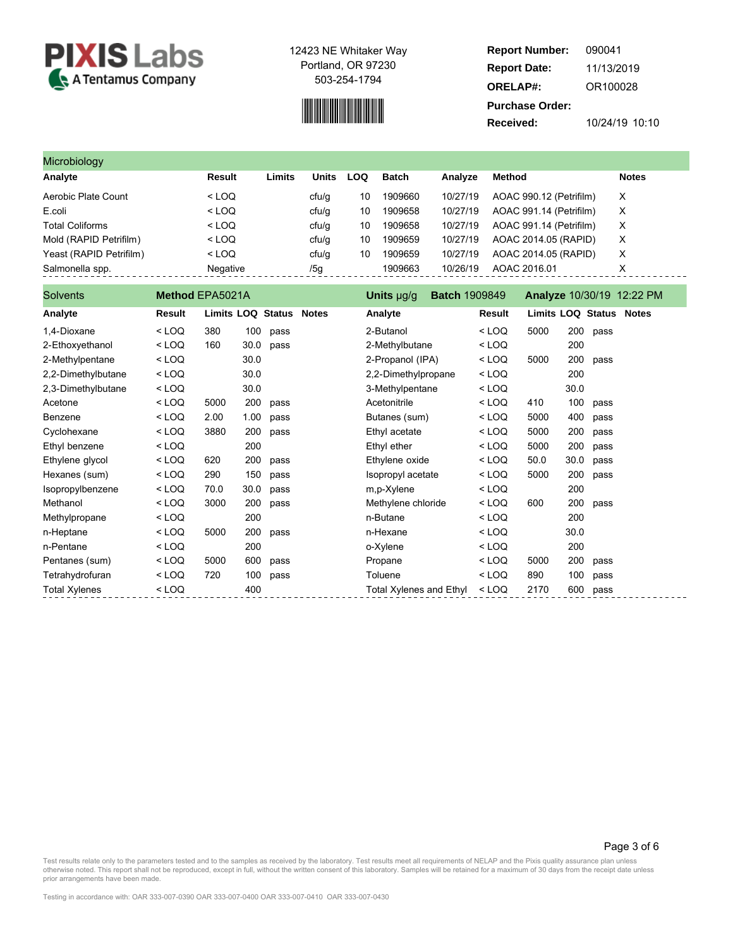

# 

**Report Number: Report Date: ORELAP#: Purchase Order: Received:** 090041 11/13/2019 OR100028 10/24/19 10:10

| Microbiology            |          |        |       |     |         |          |                         |              |  |  |  |
|-------------------------|----------|--------|-------|-----|---------|----------|-------------------------|--------------|--|--|--|
| Analyte                 | Result   | Limits | Units | LOQ | Batch   | Analvze  | Method                  | <b>Notes</b> |  |  |  |
| Aerobic Plate Count     | $<$ LOQ  |        | cfu/q | 10  | 1909660 | 10/27/19 | AOAC 990.12 (Petrifilm) | X            |  |  |  |
| E.coli                  | $<$ LOQ  |        | cfu/q | 10  | 1909658 | 10/27/19 | AOAC 991.14 (Petrifilm) | X            |  |  |  |
| <b>Total Coliforms</b>  | $<$ LOQ  |        | ctu/g | 10  | 1909658 | 10/27/19 | AOAC 991.14 (Petrifilm) | X            |  |  |  |
| Mold (RAPID Petrifilm)  | $<$ LOQ  |        | cfu/q | 10  | 1909659 | 10/27/19 | AOAC 2014.05 (RAPID)    | X            |  |  |  |
| Yeast (RAPID Petrifilm) | $<$ LOQ  |        | cfu/q | 10  | 1909659 | 10/27/19 | AOAC 2014.05 (RAPID)    | X            |  |  |  |
| Salmonella spp.         | Negative |        | /5g   |     | 1909663 | 10/26/19 | AOAC 2016.01            | х            |  |  |  |

| <b>Solvents</b>      | Method EPA5021A                                                                                                                                                                         |                         |      | <b>Batch 1909849</b><br>Units µg/g |  |                                | Analyze 10/30/19 12:22 PM |         |                         |      |          |  |
|----------------------|-----------------------------------------------------------------------------------------------------------------------------------------------------------------------------------------|-------------------------|------|------------------------------------|--|--------------------------------|---------------------------|---------|-------------------------|------|----------|--|
| Analyte              | Result                                                                                                                                                                                  | Limits LOQ Status Notes |      |                                    |  | Analyte                        |                           | Result  | Limits LOQ Status Notes |      |          |  |
| 1,4-Dioxane          | $<$ LOQ                                                                                                                                                                                 | 380                     | 100  | pass                               |  | 2-Butanol                      |                           | $<$ LOQ | 5000                    |      | 200 pass |  |
| 2-Ethoxyethanol      | $<$ LOQ                                                                                                                                                                                 | 160                     | 30.0 | pass                               |  | 2-Methylbutane                 |                           | $<$ LOQ |                         | 200  |          |  |
| 2-Methylpentane      | $<$ LOQ                                                                                                                                                                                 |                         | 30.0 |                                    |  | 2-Propanol (IPA)               |                           | $<$ LOQ | 5000                    | 200  | pass     |  |
| 2,2-Dimethylbutane   | $<$ LOQ                                                                                                                                                                                 |                         | 30.0 |                                    |  | 2,2-Dimethylpropane            |                           | $<$ LOQ |                         | 200  |          |  |
| 2,3-Dimethylbutane   | $<$ LOQ                                                                                                                                                                                 |                         | 30.0 |                                    |  | 3-Methylpentane                |                           | $<$ LOQ |                         | 30.0 |          |  |
| Acetone              | $<$ LOQ                                                                                                                                                                                 | 5000                    | 200  | pass                               |  | Acetonitrile                   |                           | $<$ LOQ | 410                     | 100  | pass     |  |
| Benzene              | $<$ LOQ                                                                                                                                                                                 | 2.00                    | 1.00 | pass                               |  | Butanes (sum)                  |                           | $<$ LOQ | 5000                    | 400  | pass     |  |
| Cyclohexane          | $<$ LOQ                                                                                                                                                                                 | 3880                    | 200  | pass                               |  | Ethyl acetate                  |                           | $<$ LOQ | 5000                    | 200  | pass     |  |
| Ethyl benzene        | $<$ LOQ                                                                                                                                                                                 |                         | 200  |                                    |  | Ethyl ether                    |                           | $<$ LOQ | 5000                    | 200  | pass     |  |
| Ethylene glycol      | $<$ LOQ                                                                                                                                                                                 | 620                     | 200  | pass                               |  | Ethylene oxide                 |                           | $<$ LOQ | 50.0                    | 30.0 | pass     |  |
| Hexanes (sum)        | $<$ LOQ                                                                                                                                                                                 | 290                     | 150  | pass                               |  | Isopropyl acetate              |                           | $<$ LOQ | 5000                    | 200  | pass     |  |
| Isopropylbenzene     | $<$ LOQ                                                                                                                                                                                 | 70.0                    | 30.0 | pass                               |  | m,p-Xylene                     |                           | $<$ LOQ |                         | 200  |          |  |
| Methanol             | $<$ LOQ                                                                                                                                                                                 | 3000                    | 200  | pass                               |  | Methylene chloride             |                           | $<$ LOQ | 600                     | 200  | pass     |  |
| Methylpropane        | $<$ LOQ                                                                                                                                                                                 |                         | 200  |                                    |  | n-Butane                       |                           | $<$ LOQ |                         | 200  |          |  |
| n-Heptane            | $<$ LOQ                                                                                                                                                                                 | 5000                    | 200  | pass                               |  | n-Hexane                       |                           | $<$ LOQ |                         | 30.0 |          |  |
| n-Pentane            | $<$ LOQ                                                                                                                                                                                 |                         | 200  |                                    |  | o-Xylene                       |                           | $<$ LOQ |                         | 200  |          |  |
| Pentanes (sum)       | $<$ LOQ                                                                                                                                                                                 | 5000                    | 600  | pass                               |  | Propane                        |                           | $<$ LOQ | 5000                    | 200  | pass     |  |
| Tetrahydrofuran      | <loq< td=""><td>720</td><td>100</td><td>pass</td><td></td><td>Toluene</td><td></td><td><math>&lt;</math> LOQ</td><td>890</td><td>100</td><td>pass</td><td></td></loq<>                  | 720                     | 100  | pass                               |  | Toluene                        |                           | $<$ LOQ | 890                     | 100  | pass     |  |
| <b>Total Xylenes</b> | <loq< td=""><td></td><td>400</td><td></td><td></td><td><b>Total Xylenes and Ethyl</b></td><td></td><td><math>&lt;</math> LOQ</td><td>2170</td><td>600</td><td>pass</td><td></td></loq<> |                         | 400  |                                    |  | <b>Total Xylenes and Ethyl</b> |                           | $<$ LOQ | 2170                    | 600  | pass     |  |

#### Page 3 of 6

Test results relate only to the parameters tested and to the samples as received by the laboratory. Test results meet all requirements of NELAP and the Pixis quality assurance plan unless<br>otherwise noted. This report shall prior arrangements have been made.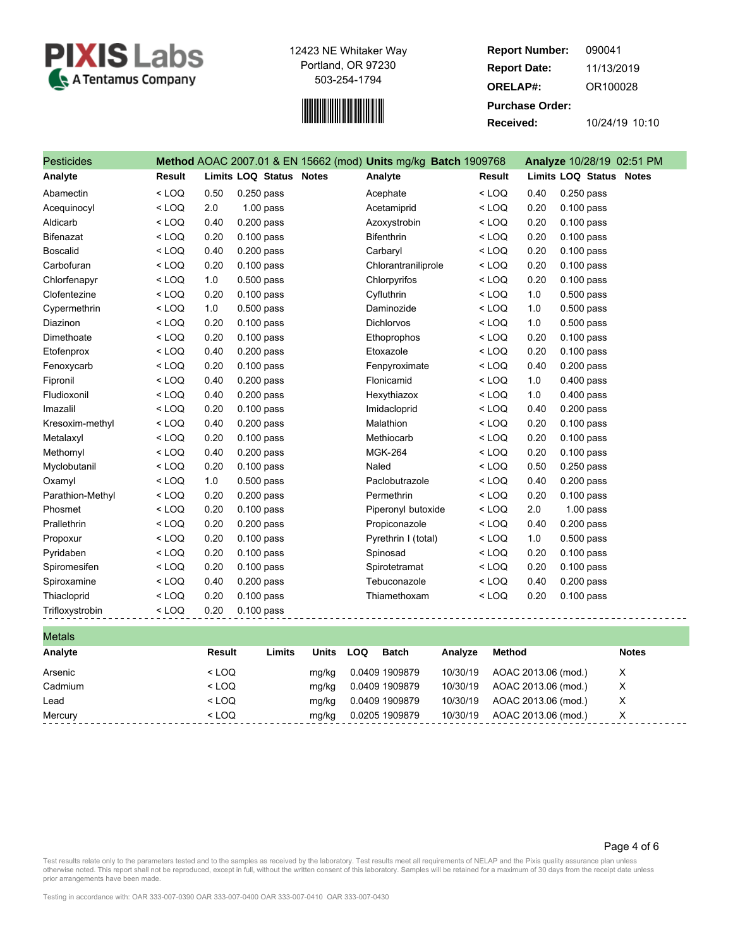



**Report Number: Report Date: ORELAP#: Purchase Order: Received:** 090041 11/13/2019 OR100028 10/24/19 10:10

| <b>Pesticides</b> |               |      |                         | Method AOAC 2007.01 & EN 15662 (mod) Units mg/kg Batch 1909768 |               |      | Analyze 10/28/19 02:51 PM |
|-------------------|---------------|------|-------------------------|----------------------------------------------------------------|---------------|------|---------------------------|
| Analyte           | <b>Result</b> |      | Limits LOQ Status Notes | Analyte                                                        | <b>Result</b> |      | Limits LOQ Status Notes   |
| Abamectin         | $<$ LOQ       | 0.50 | $0.250$ pass            | Acephate                                                       | $<$ LOQ       | 0.40 | $0.250$ pass              |
| Acequinocyl       | $<$ LOQ       | 2.0  | $1.00$ pass             | Acetamiprid                                                    | $<$ LOQ       | 0.20 | $0.100$ pass              |
| Aldicarb          | $<$ LOQ       | 0.40 | $0.200$ pass            | Azoxystrobin                                                   | $<$ LOQ       | 0.20 | $0.100$ pass              |
| <b>Bifenazat</b>  | $<$ LOQ       | 0.20 | $0.100$ pass            | <b>Bifenthrin</b>                                              | $<$ LOQ       | 0.20 | $0.100$ pass              |
| <b>Boscalid</b>   | $<$ LOQ       | 0.40 | $0.200$ pass            | Carbaryl                                                       | $<$ LOQ       | 0.20 | $0.100$ pass              |
| Carbofuran        | $<$ LOQ       | 0.20 | $0.100$ pass            | Chlorantraniliprole                                            | $<$ LOQ       | 0.20 | $0.100$ pass              |
| Chlorfenapyr      | $<$ LOQ       | 1.0  | $0.500$ pass            | Chlorpyrifos                                                   | $<$ LOQ       | 0.20 | $0.100$ pass              |
| Clofentezine      | $<$ LOQ       | 0.20 | $0.100$ pass            | Cyfluthrin                                                     | $<$ LOQ       | 1.0  | $0.500$ pass              |
| Cypermethrin      | $<$ LOQ       | 1.0  | $0.500$ pass            | Daminozide                                                     | $<$ LOQ       | 1.0  | $0.500$ pass              |
| Diazinon          | $<$ LOQ       | 0.20 | $0.100$ pass            | <b>Dichlorvos</b>                                              | $<$ LOQ       | 1.0  | $0.500$ pass              |
| Dimethoate        | $<$ LOQ       | 0.20 | $0.100$ pass            | Ethoprophos                                                    | $<$ LOQ       | 0.20 | $0.100$ pass              |
| Etofenprox        | $<$ LOQ       | 0.40 | $0.200$ pass            | Etoxazole                                                      | $<$ LOQ       | 0.20 | $0.100$ pass              |
| Fenoxycarb        | $<$ LOQ       | 0.20 | $0.100$ pass            | Fenpyroximate                                                  | $<$ LOQ       | 0.40 | $0.200$ pass              |
| Fipronil          | $<$ LOQ       | 0.40 | $0.200$ pass            | Flonicamid                                                     | $<$ LOQ       | 1.0  | $0.400$ pass              |
| Fludioxonil       | $<$ LOQ       | 0.40 | $0.200$ pass            | Hexythiazox                                                    | $<$ LOQ       | 1.0  | $0.400$ pass              |
| Imazalil          | $<$ LOQ       | 0.20 | $0.100$ pass            | Imidacloprid                                                   | $<$ LOQ       | 0.40 | $0.200$ pass              |
| Kresoxim-methyl   | $<$ LOQ       | 0.40 | $0.200$ pass            | Malathion                                                      | $<$ LOQ       | 0.20 | $0.100$ pass              |
| Metalaxyl         | $<$ LOQ       | 0.20 | $0.100$ pass            | Methiocarb                                                     | $<$ LOQ       | 0.20 | $0.100$ pass              |
| Methomyl          | $<$ LOQ       | 0.40 | 0.200 pass              | <b>MGK-264</b>                                                 | $<$ LOQ       | 0.20 | $0.100$ pass              |
| Myclobutanil      | $<$ LOQ       | 0.20 | $0.100$ pass            | Naled                                                          | $<$ LOQ       | 0.50 | 0.250 pass                |
| Oxamyl            | $<$ LOQ       | 1.0  | $0.500$ pass            | Paclobutrazole                                                 | $<$ LOQ       | 0.40 | $0.200$ pass              |
| Parathion-Methyl  | $<$ LOQ       | 0.20 | 0.200 pass              | Permethrin                                                     | $<$ LOQ       | 0.20 | $0.100$ pass              |
| Phosmet           | $<$ LOQ       | 0.20 | $0.100$ pass            | Piperonyl butoxide                                             | $<$ LOQ       | 2.0  | $1.00$ pass               |
| Prallethrin       | $<$ LOQ       | 0.20 | $0.200$ pass            | Propiconazole                                                  | $<$ LOQ       | 0.40 | $0.200$ pass              |
| Propoxur          | $<$ LOQ       | 0.20 | $0.100$ pass            | Pyrethrin I (total)                                            | $<$ LOQ       | 1.0  | $0.500$ pass              |
| Pyridaben         | $<$ LOQ       | 0.20 | $0.100$ pass            | Spinosad                                                       | $<$ LOQ       | 0.20 | $0.100$ pass              |
| Spiromesifen      | $<$ LOQ       | 0.20 | $0.100$ pass            | Spirotetramat                                                  | $<$ LOQ       | 0.20 | $0.100$ pass              |
| Spiroxamine       | $<$ LOQ       | 0.40 | 0.200 pass              | Tebuconazole                                                   | $<$ LOQ       | 0.40 | $0.200$ pass              |
| Thiacloprid       | $<$ LOQ       | 0.20 | $0.100$ pass            | Thiamethoxam                                                   | $<$ LOQ       | 0.20 | 0.100 pass                |
| Trifloxystrobin   | $<$ LOQ       | 0.20 | $0.100$ pass            |                                                                | ------------  |      |                           |

| Limits<br><b>Result</b> | <b>Units</b> |     | Analyze                                                                              |                      | <b>Notes</b>                                                                                       |
|-------------------------|--------------|-----|--------------------------------------------------------------------------------------|----------------------|----------------------------------------------------------------------------------------------------|
| $<$ LOQ                 | mg/kg        |     |                                                                                      |                      | X                                                                                                  |
| $<$ LOQ                 | mg/kg        |     | 10/30/19                                                                             |                      | X                                                                                                  |
| $<$ LOQ                 | mg/kg        |     | 10/30/19                                                                             |                      | Х                                                                                                  |
| $<$ LOQ                 | mg/kg        |     |                                                                                      |                      | X                                                                                                  |
|                         |              | LOQ | <b>Batch</b><br>0.0409 1909879<br>0.0409 1909879<br>0.0409 1909879<br>0.0205 1909879 | 10/30/19<br>10/30/19 | Method<br>AOAC 2013.06 (mod.)<br>AOAC 2013.06 (mod.)<br>AOAC 2013.06 (mod.)<br>AOAC 2013.06 (mod.) |

#### Page 4 of 6

Test results relate only to the parameters tested and to the samples as received by the laboratory. Test results meet all requirements of NELAP and the Pixis quality assurance plan unless<br>otherwise noted. This report shall prior arrangements have been made.

Testing in accordance with: OAR 333-007-0390 OAR 333-007-0400 OAR 333-007-0410 OAR 333-007-0430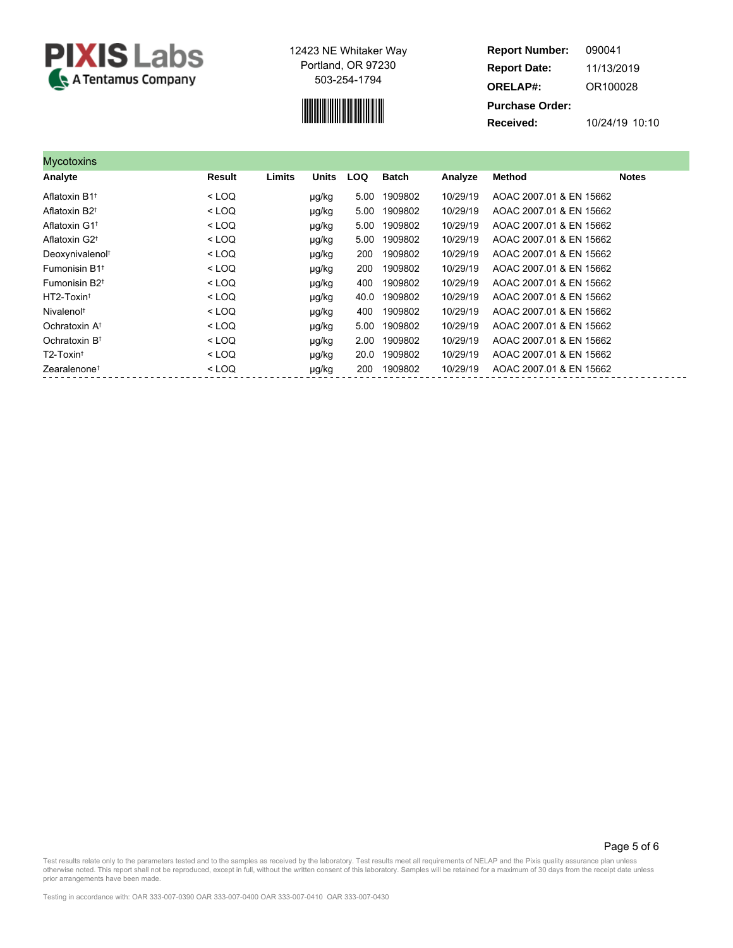

# 

**Report Number: Report Date: ORELAP#: Purchase Order: Received:** 090041 11/13/2019 OR100028 10/24/19 10:10

| Mycotoxins                           |         |        |              |            |              |          |                         |              |
|--------------------------------------|---------|--------|--------------|------------|--------------|----------|-------------------------|--------------|
| Analyte                              | Result  | Limits | <b>Units</b> | <b>LOQ</b> | <b>Batch</b> | Analyze  | <b>Method</b>           | <b>Notes</b> |
| Aflatoxin B1 <sup>t</sup>            | $<$ LOQ |        | µg/kg        | 5.00       | 1909802      | 10/29/19 | AOAC 2007 01 & EN 15662 |              |
| Aflatoxin B2 <sup>t</sup>            | $<$ LOQ |        | µg/kg        | 5.00       | 1909802      | 10/29/19 | AOAC 2007.01 & EN 15662 |              |
| Aflatoxin G1 <sup>+</sup>            | $<$ LOQ |        | µg/kg        | 5.00       | 1909802      | 10/29/19 | AOAC 2007 01 & EN 15662 |              |
| Aflatoxin G2 <sup>+</sup>            | $<$ LOQ |        | µg/kg        | 5.00       | 1909802      | 10/29/19 | AOAC 2007.01 & EN 15662 |              |
| Deoxynivalenol <sup>t</sup>          | $<$ LOQ |        | µg/kg        | 200        | 1909802      | 10/29/19 | AOAC 2007.01 & EN 15662 |              |
| Fumonisin B1 <sup>t</sup>            | $<$ LOQ |        | µg/kg        | 200        | 1909802      | 10/29/19 | AOAC 2007.01 & EN 15662 |              |
| Fumonisin B <sub>2<sup>t</sup></sub> | $<$ LOQ |        | µg/kg        | 400        | 1909802      | 10/29/19 | AOAC 2007 01 & EN 15662 |              |
| HT2-Toxin <sup>t</sup>               | $<$ LOQ |        | µg/kg        | 40.0       | 1909802      | 10/29/19 | AOAC 2007 01 & EN 15662 |              |
| Nivalenol <sup>t</sup>               | $<$ LOQ |        | µg/kg        | 400        | 1909802      | 10/29/19 | AOAC 2007.01 & EN 15662 |              |
| Ochratoxin A <sup>t</sup>            | $<$ LOQ |        | µg/kg        | 5.00       | 1909802      | 10/29/19 | AOAC 2007 01 & EN 15662 |              |
| Ochratoxin B <sup>t</sup>            | $<$ LOQ |        | µg/kg        | 2.00       | 1909802      | 10/29/19 | AOAC 2007 01 & EN 15662 |              |
| T2-Toxin <sup>t</sup>                | $<$ LOQ |        | µg/kg        | 20.0       | 1909802      | 10/29/19 | AOAC 2007 01 & EN 15662 |              |
| Zearalenone <sup>t</sup>             | $<$ LOQ |        | µg/kg        | 200        | 1909802      | 10/29/19 | AOAC 2007.01 & EN 15662 |              |

Page 5 of 6

Test results relate only to the parameters tested and to the samples as received by the laboratory. Test results meet all requirements of NELAP and the Pixis quality assurance plan unless<br>otherwise noted. This report shall prior arrangements have been made.